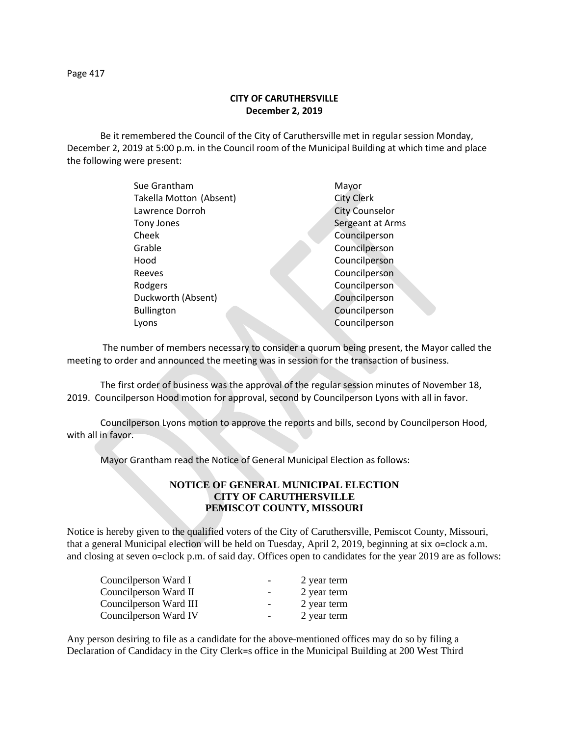Page 417

## **CITY OF CARUTHERSVILLE December 2, 2019**

Be it remembered the Council of the City of Caruthersville met in regular session Monday, December 2, 2019 at 5:00 p.m. in the Council room of the Municipal Building at which time and place the following were present:

| Sue Grantham            | Mayor                 |
|-------------------------|-----------------------|
| Takella Motton (Absent) | <b>City Clerk</b>     |
| Lawrence Dorroh         | <b>City Counselor</b> |
| Tony Jones              | Sergeant at Arms      |
| Cheek                   | Councilperson         |
| Grable                  | Councilperson         |
| Hood                    | Councilperson         |
| Reeves                  | Councilperson         |
| Rodgers                 | Councilperson         |
| Duckworth (Absent)      | Councilperson         |
| <b>Bullington</b>       | Councilperson         |
| Lyons                   | Councilperson         |
|                         |                       |

 The number of members necessary to consider a quorum being present, the Mayor called the meeting to order and announced the meeting was in session for the transaction of business.

The first order of business was the approval of the regular session minutes of November 18, 2019. Councilperson Hood motion for approval, second by Councilperson Lyons with all in favor.

Councilperson Lyons motion to approve the reports and bills, second by Councilperson Hood, with all in favor.

Mayor Grantham read the Notice of General Municipal Election as follows:

## **NOTICE OF GENERAL MUNICIPAL ELECTION CITY OF CARUTHERSVILLE PEMISCOT COUNTY, MISSOURI**

Notice is hereby given to the qualified voters of the City of Caruthersville, Pemiscot County, Missouri, that a general Municipal election will be held on Tuesday, April 2, 2019, beginning at six o=clock a.m. and closing at seven o=clock p.m. of said day. Offices open to candidates for the year 2019 are as follows:

| Councilperson Ward I    | $\qquad \qquad \blacksquare$ | 2 year term |
|-------------------------|------------------------------|-------------|
| Councilperson Ward II   | $\overline{\phantom{0}}$     | 2 year term |
| Council person Ward III | $\overline{\phantom{a}}$     | 2 year term |
| Councilperson Ward IV   | $\overline{\phantom{a}}$     | 2 year term |

Any person desiring to file as a candidate for the above-mentioned offices may do so by filing a Declaration of Candidacy in the City Clerk=s office in the Municipal Building at 200 West Third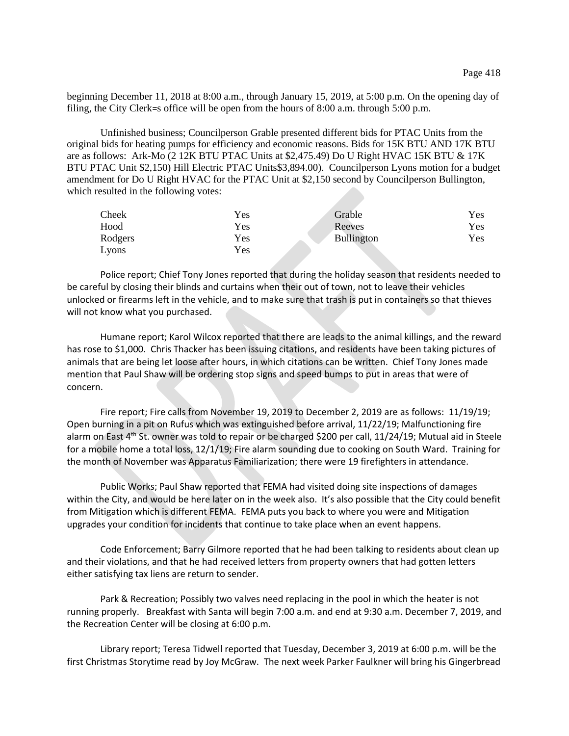beginning December 11, 2018 at 8:00 a.m., through January 15, 2019, at 5:00 p.m. On the opening day of filing, the City Clerk=s office will be open from the hours of 8:00 a.m. through 5:00 p.m.

Unfinished business; Councilperson Grable presented different bids for PTAC Units from the original bids for heating pumps for efficiency and economic reasons. Bids for 15K BTU AND 17K BTU are as follows: Ark-Mo (2 12K BTU PTAC Units at \$2,475.49) Do U Right HVAC 15K BTU & 17K BTU PTAC Unit \$2,150) Hill Electric PTAC Units\$3,894.00). Councilperson Lyons motion for a budget amendment for Do U Right HVAC for the PTAC Unit at \$2,150 second by Councilperson Bullington, which resulted in the following votes:

| Cheek   | Yes | Grable            | <b>Yes</b> |
|---------|-----|-------------------|------------|
| Hood    | Yes | Reeves            | <b>Yes</b> |
| Rodgers | Yes | <b>Bullington</b> | Yes        |
| Lyons   | Yes |                   |            |

Police report; Chief Tony Jones reported that during the holiday season that residents needed to be careful by closing their blinds and curtains when their out of town, not to leave their vehicles unlocked or firearms left in the vehicle, and to make sure that trash is put in containers so that thieves will not know what you purchased.

Humane report; Karol Wilcox reported that there are leads to the animal killings, and the reward has rose to \$1,000. Chris Thacker has been issuing citations, and residents have been taking pictures of animals that are being let loose after hours, in which citations can be written. Chief Tony Jones made mention that Paul Shaw will be ordering stop signs and speed bumps to put in areas that were of concern.

Fire report; Fire calls from November 19, 2019 to December 2, 2019 are as follows: 11/19/19; Open burning in a pit on Rufus which was extinguished before arrival, 11/22/19; Malfunctioning fire alarm on East 4th St. owner was told to repair or be charged \$200 per call, 11/24/19; Mutual aid in Steele for a mobile home a total loss, 12/1/19; Fire alarm sounding due to cooking on South Ward. Training for the month of November was Apparatus Familiarization; there were 19 firefighters in attendance.

Public Works; Paul Shaw reported that FEMA had visited doing site inspections of damages within the City, and would be here later on in the week also. It's also possible that the City could benefit from Mitigation which is different FEMA. FEMA puts you back to where you were and Mitigation upgrades your condition for incidents that continue to take place when an event happens.

Code Enforcement; Barry Gilmore reported that he had been talking to residents about clean up and their violations, and that he had received letters from property owners that had gotten letters either satisfying tax liens are return to sender.

Park & Recreation; Possibly two valves need replacing in the pool in which the heater is not running properly. Breakfast with Santa will begin 7:00 a.m. and end at 9:30 a.m. December 7, 2019, and the Recreation Center will be closing at 6:00 p.m.

Library report; Teresa Tidwell reported that Tuesday, December 3, 2019 at 6:00 p.m. will be the first Christmas Storytime read by Joy McGraw. The next week Parker Faulkner will bring his Gingerbread